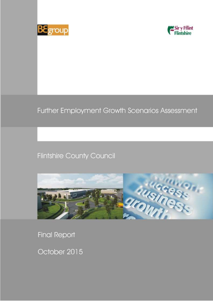



# Further Employment Growth Scenarios Assessment

## **Flintshire County Council**



**Final Report** 

October 2015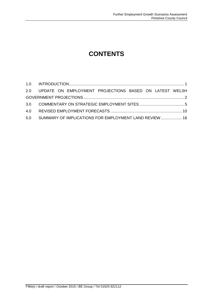### **CONTENTS**

| 2.0 UPDATE ON EMPLOYMENT PROJECTIONS BASED ON LATEST WELSH |  |
|------------------------------------------------------------|--|
|                                                            |  |
|                                                            |  |
|                                                            |  |
| 5.0 SUMMARY OF IMPLICATIONS FOR EMPLOYMENT LAND REVIEW  16 |  |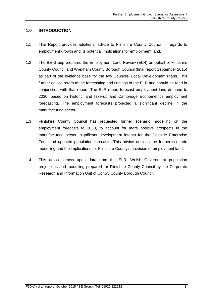#### <span id="page-2-0"></span>**1.0 INTRODUCTION**

- 1.1 This Report provides additional advice to Flintshire County Council in regards to employment growth and its potential implications for employment land.
- 1.2 The BE Group prepared the Employment Land Review (ELR) on behalf of Flintshire County Council and Wrexham County Borough Council (final report September 2015) as part of the evidence base for the two Councils' Local Development Plans. This further advice refers to the forecasting and findings of the ELR and should be read in conjunction with that report. The ELR report forecast employment land demand to 2030, based on historic land take-up and Cambridge Econometrics employment forecasting. The employment forecasts projected a significant decline in the manufacturing sector.
- 1.3 Flintshire County Council has requested further scenario modelling on the employment forecasts to 2030, to account for more positive prospects in the manufacturing sector, significant development intents for the Deeside Enterprise Zone and updated population forecasts. This advice outlines the further scenario modelling and the implications for Flintshire County's provision of employment land.
- 1.4 This advice draws upon data from the ELR, Welsh Government population projections and modelling prepared for Flintshire County Council by the Corporate Research and Information Unit of Conwy County Borough Council.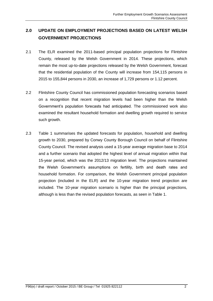### <span id="page-3-0"></span>**2.0 UPDATE ON EMPLOYMENT PROJECTIONS BASED ON LATEST WELSH GOVERNMENT PROJECTIONS**

- 2.1 The ELR examined the 2011-based principal population projections for Flintshire County, released by the Welsh Government in 2014. These projections, which remain the most up-to-date projections released by the Welsh Government, forecast that the residential population of the County will increase from 154,115 persons in 2015 to 155,844 persons in 2030, an increase of 1,729 persons or 1.12 percent.
- 2.2 Flintshire County Council has commissioned population forecasting scenarios based on a recognition that recent migration levels had been higher than the Welsh Government's population forecasts had anticipated. The commissioned work also examined the resultant household formation and dwelling growth required to service such growth.
- 2.3 Table 1 summarises the updated forecasts for population, household and dwelling growth to 2030, prepared by Conwy County Borough Council on behalf of Flintshire County Council. The revised analysis used a 15-year average migration base to 2014 and a further scenario that adopted the highest level of annual migration within that 15-year period, which was the 2012/13 migration level. The projections maintained the Welsh Government's assumptions on fertility, birth and death rates and household formation. For comparison, the Welsh Government principal population projection (included in the ELR) and the 10-year migration trend projection are included. The 10-year migration scenario is higher than the principal projections, although is less than the revised population forecasts, as seen in Table 1.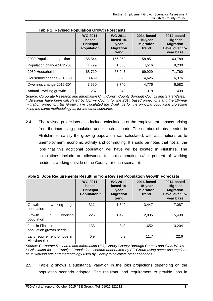|                            | <b>WG 2011-</b><br>based<br><b>Principal</b><br><b>Population</b> | <b>WG 2011-</b><br>based 10-<br>year<br><b>Migration</b><br>trend | 2014-based<br>15-year<br><b>Migration</b><br>trend | 2014-based<br><b>Highest</b><br><b>Migration</b><br>Level over 15-<br>year base |
|----------------------------|-------------------------------------------------------------------|-------------------------------------------------------------------|----------------------------------------------------|---------------------------------------------------------------------------------|
| 2030 Population projection | 155,844                                                           | 156,052                                                           | 158,851                                            | 163,789                                                                         |
| Population change 2015-30  | 1,729                                                             | 1,865                                                             | 4,516                                              | 9,230                                                                           |
| 2030 Households            | 68,710                                                            | 68.947                                                            | 69.929                                             | 71,760                                                                          |
| Household change 2015-30   | 3,439                                                             | 3,623                                                             | 4,626                                              | 6,376                                                                           |
| Dwellings change 2015-30*  | 3,550                                                             | 3,740                                                             | 4,776                                              | 6,582                                                                           |
| Annual Dwelling growth*    | 237                                                               | 249                                                               | 318                                                | 439                                                                             |

**Table 1: Revised Population Growth Forecasts**

*Source: Corporate Research and Information Unit, Conwy County Borough Council and Stats Wales. \* Dwellings have been calculated by Conwy County for the 2014 based projections and the 10-year migration projection. BE Group have calculated the dwellings for the principal population projection using the same methodology as for the other scenarios.*

2.4 The revised projections also include calculations of the employment impacts arising from the increasing population under each scenario. The number of jobs needed in Flintshire to satisfy the growing population was calculated, with assumptions as to unemployment, economic activity and commuting. It should be noted that not all the jobs that this additional population will have will be located in Flintshire. The calculations include an allowance for out-commuting (41.1 percent of working residents working outside of the County for each scenario).

|                                                       | <b>WG 2011-</b><br>based<br><b>Principal</b><br><b>Population</b> * | <b>WG 2011-</b><br>based 10-<br>year<br><b>Migration</b><br>trend | 2014-based<br>15-year<br><b>Migration</b><br>trend | 2014-based<br><b>Highest</b><br><b>Migration</b><br>Level over 15-<br>year base |
|-------------------------------------------------------|---------------------------------------------------------------------|-------------------------------------------------------------------|----------------------------------------------------|---------------------------------------------------------------------------------|
| working<br>Growth<br>-in<br>age<br>population         | 311                                                                 | 1,542                                                             | 3,447                                              | 7,087                                                                           |
| in<br>working<br>Growth<br>population                 | 226                                                                 | 1,426                                                             | 2,805                                              | 5,439                                                                           |
| Jobs in Flintshire to meet<br>population growth needs | 133                                                                 | 840                                                               | 1,652                                              | 3,204                                                                           |
| Land requirement for jobs in<br>Flintshire (ha)       | 0.9                                                                 | 5.9                                                               | 11.7                                               | 22.6                                                                            |

**Table 2: Jobs Requirements Resulting from Revised Population Growth Forecasts**

*Source: Corporate Research and Information Unit, Conwy County Borough Council and Stats Wales. \* Calculation for the Principal Population scenario undertaken by BE Group using same assumptions as to working age and methodology used by Conwy to calculate other scenarios.*

2.5 Table 2 shows a substantial variation in the jobs projections depending on the population scenario adopted. The resultant land requirement to provide jobs in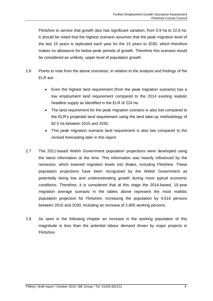Flintshire to service that growth also has significant variation, from 0.9 ha to 22.6 ha. It should be noted that the highest scenario assumes that the peak migration level of the last 15 years is replicated each year for the 15 years to 2030, which therefore makes no allowance for below peak periods of growth. Therefore this scenario would be considered an unlikely, upper level of population growth.

- 2.6 Points to note from the above scenarios, in relation to the analysis and findings of the ELR are:
	- Even the highest land requirement (from the peak migration scenario) has a low employment land requirement compared to the 2014 existing realistic headline supply as identified in the ELR of 224 ha.
	- The land requirement for the peak migration scenario is also low compared to the ELR's projected land requirement using the land take-up methodology of 82.5 ha between 2015 and 2030.
	- This peak migration scenario land requirement is also low compared to the revised forecasting later in this report.
- 2.7 The 2011-based Welsh Government population projections were developed using the latest information at the time. This information was heavily influenced by the recession, which lowered migration levels into Wales, including Flintshire. These population projections have been recognised by the Welsh Government as potentially being low and underestimating growth during more typical economic conditions. Therefore, it is considered that at this stage the 2014-based, 15-year migration average scenario in the tables above represent the most realistic population projection for Flintshire, increasing the population by 4,516 persons between 2015 and 2030, including an increase of 2,805 working persons.
- 2.8 As seen in the following chapter an increase in the working population of this magnitude is less than the potential labour demand driven by major projects in Flintshire.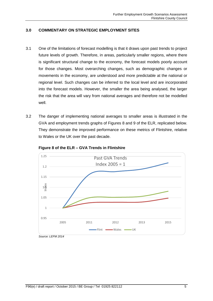#### <span id="page-6-0"></span>**3.0 COMMENTARY ON STRATEGIC EMPLOYMENT SITES**

- 3.1 One of the limitations of forecast modelling is that it draws upon past trends to project future levels of growth. Therefore, in areas, particularly smaller regions, where there is significant structural change to the economy, the forecast models poorly account for those changes. Most overarching changes, such as demographic changes or movements in the economy, are understood and more predictable at the national or regional level. Such changes can be inferred to the local level and are incorporated into the forecast models. However, the smaller the area being analysed, the larger the risk that the area will vary from national averages and therefore not be modelled well.
- 3.2 The danger of implementing national averages to smaller areas is illustrated in the GVA and employment trends graphs of Figures 8 and 9 of the ELR, replicated below. They demonstrate the improved performance on these metrics of Flintshire, relative to Wales or the UK over the past decade.



**Figure 8 of the ELR – GVA Trends in Flintshire**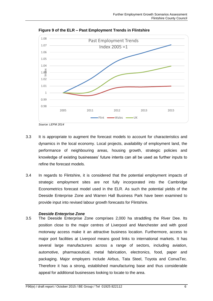

**Figure 9 of the ELR – Past Employment Trends in Flintshire**

- 3.3 It is appropriate to augment the forecast models to account for characteristics and dynamics in the local economy. Local projects, availability of employment land, the performance of neighbouring areas, housing growth, strategic policies and knowledge of existing businesses' future intents can all be used as further inputs to refine the forecast models.
- 3.4 In regards to Flintshire, it is considered that the potential employment impacts of strategic employment sites are not fully incorporated into the Cambridge Econometrics forecast model used in the ELR. As such the potential yields of the Deeside Enterprise Zone and Warren Hall Business Park have been examined to provide input into revised labour growth forecasts for Flintshire.

#### *Deeside Enterprise Zone*

3.5 The Deeside Enterprise Zone comprises 2,000 ha straddling the River Dee. Its position close to the major centres of Liverpool and Manchester and with good motorway access make it an attractive business location. Furthermore, access to major port facilities at Liverpool means good links to international markets. It has several large manufacturers across a range of sectors, including aviation, automotive, pharmaceutical, metal fabrication, electronics, food, paper and packaging. Major employers include Airbus, Tata Steel, Toyota and ConvaTec. Therefore it has a strong, established manufacturing base and thus considerable appeal for additional businesses looking to locate to the area.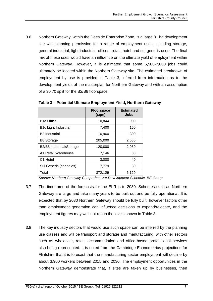3.6 Northern Gateway, within the Deeside Enterprise Zone, is a large 81 ha development site with planning permission for a range of employment uses, including storage, general industrial, light industrial, offices, retail, hotel and sui generis uses. The final mix of these uses would have an influence on the ultimate yield of employment within Northern Gateway. However, it is estimated that some 5,500-7,000 jobs could ultimately be located within the Northern Gateway site. The estimated breakdown of employment by use is provided in Table 3, inferred from information as to the development yields of the masterplan for Northern Gateway and with an assumption of a 30:70 split for the B2/B8 floorspace.

|                             | <b>Floorspace</b><br>(sqm) | <b>Estimated</b><br>Jobs |
|-----------------------------|----------------------------|--------------------------|
| <b>B1a Office</b>           | 10,844                     | 900                      |
| <b>B1c Light Industrial</b> | 7,400                      | 160                      |
| <b>B2</b> Industrial        | 10,960                     | 300                      |
| <b>B8 Storage</b>           | 205,000                    | 2,560                    |
| B2/B8 Industrial/Storage    | 120,000                    | 2,050                    |
| A1 Retail Warehouse         | 7,146                      | 80                       |
| C <sub>1</sub> Hotel        | 3,000                      | 40                       |
| Sui Generis (car sales)     | 7,779                      | 30                       |
| Total                       | 372,129                    | 6,120                    |

**Table 3 – Potential Ultimate Employment Yield, Northern Gateway**

*Source: Northern Gateway Comprehensive Development Schedule, BE Group*

- 3.7 The timeframe of the forecasts for the ELR is to 2030. Schemes such as Northern Gateway are large and take many years to be built out and be fully operational. It is expected that by 2030 Northern Gateway should be fully built, however factors other than employment generation can influence decisions to expand/relocate, and the employment figures may well not reach the levels shown in Table 3.
- 3.8 The key industry sectors that would use such space can be inferred by the planning use classes and will be transport and storage and manufacturing, with other sectors such as wholesale, retail, accommodation and office-based professional services also being represented. It is noted from the Cambridge Econometrics projections for Flintshire that it is forecast that the manufacturing sector employment will decline by about 3,900 workers between 2015 and 2030. The employment opportunities in the Northern Gateway demonstrate that, if sites are taken up by businesses, then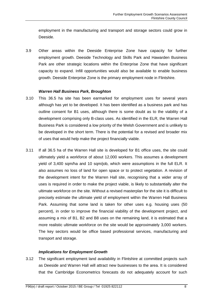employment in the manufacturing and transport and storage sectors could grow in Deeside.

3.9 Other areas within the Deeside Enterprise Zone have capacity for further employment growth. Deeside Technology and Skills Park and Hawarden Business Park are other strategic locations within the Enterprise Zone that have significant capacity to expand. Infill opportunities would also be available to enable business growth. Deeside Enterprise Zone is the primary employment node in Flintshire.

#### *Warren Hall Business Park, Broughton*

- 3.10 This 36.5 ha site has been earmarked for employment uses for several years although has yet to be developed. It has been identified as a business park and has outline consent for B1 uses, although there is some doubt as to the viability of a development comprising only B-class uses. As identified in the ELR, the Warren Hall Business Park is considered a low priority of the Welsh Government and is unlikely to be developed in the short term. There is the potential for a revised and broader mix of uses that would help make the project financially viable.
- 3.11 If all 36.5 ha of the Warren Hall site is developed for B1 office uses, the site could ultimately yield a workforce of about 12,000 workers. This assumes a development yield of 3,400 sqm/ha and 10 sqm/job, which were assumptions in the full ELR. It also assumes no loss of land for open space or to protect vegetation. A revision of the development intent for the Warren Hall site, recognising that a wider array of uses is required in order to make the project viable, is likely to substantially alter the ultimate workforce on the site. Without a revised masterplan for the site it is difficult to precisely estimate the ultimate yield of employment within the Warren Hall Business Park. Assuming that some land is taken for other uses e.g. housing uses (50 percent), in order to improve the financial viability of the development project, and assuming a mix of B1, B2 and B8 uses on the remaining land, it is estimated that a more realistic ultimate workforce on the site would be approximately 3,000 workers. The key sectors would be office based professional services, manufacturing and transport and storage.

#### *Implications for Employment Growth*

3.12 The significant employment land availability in Flintshire at committed projects such as Deeside and Warren Hall will attract new businesses to the area. It is considered that the Cambridge Econometrics forecasts do not adequately account for such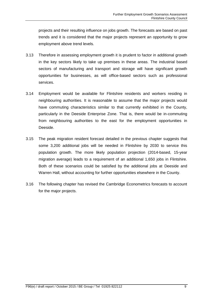projects and their resulting influence on jobs growth. The forecasts are based on past trends and it is considered that the major projects represent an opportunity to grow employment above trend levels.

- 3.13 Therefore in assessing employment growth it is prudent to factor in additional growth in the key sectors likely to take up premises in these areas. The industrial based sectors of manufacturing and transport and storage will have significant growth opportunities for businesses, as will office-based sectors such as professional services.
- 3.14 Employment would be available for Flintshire residents and workers residing in neighbouring authorities. It is reasonable to assume that the major projects would have commuting characteristics similar to that currently exhibited in the County, particularly in the Deeside Enterprise Zone. That is, there would be in-commuting from neighbouring authorities to the east for the employment opportunities in Deeside.
- 3.15 The peak migration resident forecast detailed in the previous chapter suggests that some 3,200 additional jobs will be needed in Flintshire by 2030 to service this population growth. The more likely population projection (2014-based, 15-year migration average) leads to a requirement of an additional 1,650 jobs in Flintshire. Both of these scenarios could be satisfied by the additional jobs at Deeside and Warren Hall, without accounting for further opportunities elsewhere in the County.
- 3.16 The following chapter has revised the Cambridge Econometrics forecasts to account for the major projects.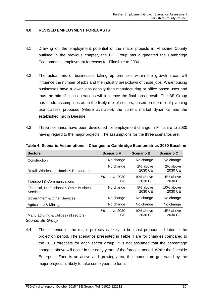#### <span id="page-11-0"></span>**4.0 REVISED EMPLOYMENT FORECASTS**

- 4.1 Drawing on the employment potential of the major projects in Flintshire County outlined in the previous chapter, the BE Group has augmented the Cambridge Econometrics employment forecasts for Flintshire to 2030.
- 4.2 The actual mix of businesses taking up premises within the growth areas will influence the number of jobs and the industry breakdown of those jobs. Warehousing businesses have a lower jobs density than manufacturing or office based uses and thus the mix of such operations will influence the final jobs growth. The BE Group has made assumptions as to the likely mix of sectors, based on the mix of planning use classes proposed (where available), the current market dynamics and the established mix in Deeside.
- 4.3 Three scenarios have been developed for employment change in Flintshire to 2030 having regard to the major projects. The assumptions for the three scenarios are:

| <b>Sectors</b>                                                                    | <b>Scenario A</b>    | <b>Scenario B</b>    | <b>Scenario C</b>    |
|-----------------------------------------------------------------------------------|----------------------|----------------------|----------------------|
| Construction                                                                      | No change            | No change            | No change            |
| Retail, Wholesale, Hotels & Restaurants                                           | No change            | 2% above<br>2030 CE  | 2% above<br>2030 CE  |
| <b>Transport &amp; Communications</b>                                             | 5% above 2030<br>CЕ  | 10% above<br>2030 CE | 15% above<br>2030 CE |
| Financial, Professional & Other Business<br>Services                              | No change            | 5% above<br>2030 CE  | 10% above<br>2030 CE |
| Government & Other Services                                                       | No change            | No change            | No change            |
| Agriculture & Mining                                                              | No change            | No change            | No change            |
| Manufacturing & Utilities (all sectors)<br>$O_{\text{max}}$ , DE $O_{\text{max}}$ | 5% above 2030<br>CE. | 10% above<br>2030 CE | 15% above<br>2030 CE |

**Table 4: Scenario Assumptions – Changes to Cambridge Econometrics 2030 Baseline**

*Source: BE Group*

4.4 The influence of the major projects is likely to be most pronounced later in the projection period. The scenarios presented in Table 4 are for changes compared to the 2030 forecasts for each sector group. It is not assumed that the percentage changes above will occur in the early years of the forecast period. While the Deeside Enterprise Zone is an active and growing area, the momentum generated by the major projects is likely to take some years to form.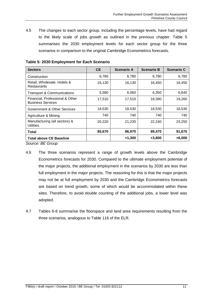4.5 The changes to each sector group, including the percentage levels, have had regard to the likely scale of jobs growth as outlined in the previous chapter. Table 5 summarises the 2030 employment levels for each sector group for the three scenarios in comparison to the original Cambridge Econometrics forecasts.

| <b>Sectors</b>                                              | <b>CE</b> | <b>Scenario A</b> | <b>Scenario B</b> | <b>Scenario C</b> |
|-------------------------------------------------------------|-----------|-------------------|-------------------|-------------------|
| Construction                                                | 6,780     | 6,780             | 6,780             | 6,780             |
| Retail, Wholesale, Hotels &<br><b>Restaurants</b>           | 16,130    | 16,130            | 16,450            | 16,450            |
| <b>Transport &amp; Communications</b>                       | 5,580     | 6,060             | 6,350             | 6,640             |
| Financial, Professional & Other<br><b>Business Services</b> | 17,510    | 17,510            | 18,390            | 19,260            |
| Government & Other Services                                 | 18,530    | 18,530            | 18,530            | 18,530            |
| Agriculture & Mining                                        | 740       | 740               | 740               | 740               |
| Manufacturing (all sectors) &<br>Utilities                  | 20,220    | 21,230            | 22,240            | 23,250            |
| Total                                                       | 85,670    | 86,970            | 89,470            | 91,670            |
| <b>Total above CE Baseline</b>                              |           | $+1,300$          | $+3,800$          | $+6,000$          |

**Table 5: 2030 Employment for Each Scenario** 

*Source: BE Group*

- 4.6 The three scenarios represent a range of growth levels above the Cambridge Econometrics forecasts for 2030. Compared to the ultimate employment potential of the major projects, the additional employment in the scenarios by 2030 are less than full employment in the major projects. The reasoning for this is that the major projects may not be at full employment by 2030 and the Cambridge Econometrics forecasts are based on trend growth, some of which would be accommodated within these sites. Therefore, to avoid double counting of the additional jobs, a lower level was adopted.
- 4.7 Tables 6-8 summarise the floorspace and land area requirements resulting from the three scenarios, analogous to Table 116 of the ELR.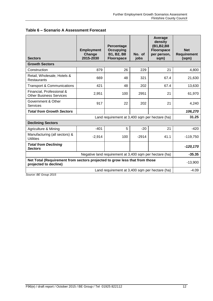| <b>Sectors</b>                                                                                      | <b>Employment</b><br>Change<br>2015-2030 | Percentage<br>Occupying<br>B1, B2, B8<br><b>Floorspace</b> | No. of<br>jobs | Average<br>density<br>(B1, B2, B8<br><b>Floorspace</b><br>per person,<br>sqm) | <b>Net</b><br><b>Requirement</b><br>(sqm) |
|-----------------------------------------------------------------------------------------------------|------------------------------------------|------------------------------------------------------------|----------------|-------------------------------------------------------------------------------|-------------------------------------------|
| <b>Growth Sectors</b>                                                                               |                                          |                                                            |                |                                                                               |                                           |
| Construction                                                                                        | 879                                      | 26                                                         | 229            | 21                                                                            | 4,800                                     |
| Retail, Wholesale, Hotels &<br><b>Restaurants</b>                                                   | 669                                      | 48                                                         | 321            | 67.4                                                                          | 21,630                                    |
| <b>Transport &amp; Communications</b>                                                               | 421                                      | 48                                                         | 202            | 67.4                                                                          | 13,630                                    |
| Financial, Professional &<br><b>Other Business Services</b>                                         | 2,951                                    | 100                                                        | 2951           | 21                                                                            | 61,970                                    |
| Government & Other<br>Services                                                                      | 917                                      | 22                                                         | 202            | 21                                                                            | 4,240                                     |
| <b>Total from Growth Sectors</b>                                                                    |                                          |                                                            |                |                                                                               | 106,270                                   |
|                                                                                                     | 31.25                                    |                                                            |                |                                                                               |                                           |
| <b>Declining Sectors</b>                                                                            |                                          |                                                            |                |                                                                               |                                           |
| Agriculture & Mining                                                                                | $-401$                                   | 5                                                          | $-20$          | 21                                                                            | $-420$                                    |
| Manufacturing (all sectors) &<br><b>Utilities</b>                                                   | $-2,914$                                 | 100                                                        | $-2914$        | 41.1                                                                          | $-119,750$                                |
| <b>Total from Declining</b><br><b>Sectors</b>                                                       |                                          |                                                            |                |                                                                               | $-120,170$                                |
|                                                                                                     |                                          | Negative land requirement at 3,400 sqm per hectare (ha)    |                |                                                                               | $-35.35$                                  |
| Net Total (Requirement from sectors projected to grow less that from those<br>projected to decline) |                                          |                                                            |                |                                                                               | $-13,900$                                 |
|                                                                                                     |                                          | Land requirement at 3,400 sqm per hectare (ha)             |                |                                                                               | $-4.09$                                   |

*Source: BE Group 2015*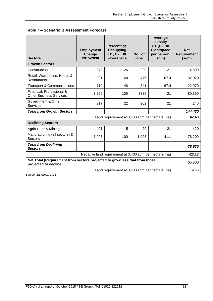|  |  | Table 7 - Scenario B Assessment Forecast |  |
|--|--|------------------------------------------|--|
|--|--|------------------------------------------|--|

| <b>Sectors</b>                                                                                      | <b>Employment</b><br>Change<br>2015-2030 | Percentage<br>Occupying<br>B1, B2, B8<br><b>Floorspace</b> | No. of<br>jobs | Average<br>density<br>(B1, B2, B8<br><b>Floorspace</b><br>per person,<br>sqm) | <b>Net</b><br><b>Requirement</b><br>(sqm) |
|-----------------------------------------------------------------------------------------------------|------------------------------------------|------------------------------------------------------------|----------------|-------------------------------------------------------------------------------|-------------------------------------------|
| <b>Growth Sectors</b>                                                                               |                                          |                                                            |                |                                                                               |                                           |
| Construction                                                                                        | 879                                      | 26                                                         | 229            | 21                                                                            | 4,800                                     |
| Retail, Warehouse, Hotels &<br><b>Restaurants</b>                                                   | 991                                      | 48                                                         | 476            | 67.4                                                                          | 32,070                                    |
| <b>Transport &amp; Communications</b>                                                               | 710                                      | 48                                                         | 341            | 67.4                                                                          | 22,970                                    |
| Financial, Professional &<br><b>Other Business Services</b>                                         | 3,826                                    | 100                                                        | 3826           | 21                                                                            | 80,350                                    |
| Government & Other<br><b>Services</b>                                                               | 917                                      | 22                                                         | 202            | 21                                                                            | 4,240                                     |
| <b>Total from Growth Sectors</b>                                                                    |                                          |                                                            |                |                                                                               | 144,430                                   |
| Land requirement at 3,400 sqm per hectare (ha)                                                      |                                          |                                                            |                |                                                                               |                                           |
| <b>Declining Sectors</b>                                                                            |                                          |                                                            |                |                                                                               |                                           |
| Agriculture & Mining                                                                                | $-401$                                   | 5                                                          | $-20$          | 21                                                                            | $-420$                                    |
| Manufacturing (all sectors) &<br>Sectors                                                            | $-1,903$                                 | 100                                                        | $-1,903$       | 41.1                                                                          | $-78,200$                                 |
| <b>Total from Declining</b><br><b>Sectors</b>                                                       |                                          |                                                            |                |                                                                               | $-78,630$                                 |
|                                                                                                     |                                          | Negative land requirement at 3,400 sqm per hectare (ha)    |                |                                                                               | $-23.13$                                  |
| Net Total (Requirement from sectors projected to grow less that from those<br>projected to decline) |                                          |                                                            |                |                                                                               | 65,800                                    |
|                                                                                                     |                                          | Land requirement at 3,400 sqm per hectare (ha)             |                |                                                                               | 19.35                                     |

*Source: BE Group 2015*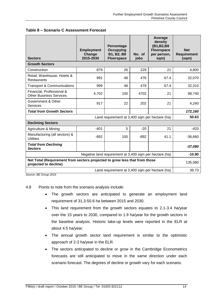| <b>Sectors</b>                                                                                      | <b>Employment</b><br>Change<br>2015-2030 | Percentage<br><b>Occupying</b><br>B1, B2, B8<br><b>Floorspace</b> | No. of<br>jobs | Average<br>density<br>(B1, B2, B8<br><b>Floorspace</b><br>per person,<br>sqm) | <b>Net</b><br><b>Requirement</b><br>(sqm) |
|-----------------------------------------------------------------------------------------------------|------------------------------------------|-------------------------------------------------------------------|----------------|-------------------------------------------------------------------------------|-------------------------------------------|
| <b>Growth Sectors</b>                                                                               |                                          |                                                                   |                |                                                                               |                                           |
| Construction                                                                                        | 879                                      | 26                                                                | 229            | 21                                                                            | 4,800                                     |
| Retail, Warehouse, Hotels &<br><b>Restaurants</b>                                                   | 991                                      | 48                                                                | 476            | 67.4                                                                          | 32,070                                    |
| <b>Transport &amp; Communications</b>                                                               | 999                                      | 48                                                                | 479            | 67.4                                                                          | 32,310                                    |
| Financial, Professional &<br><b>Other Business Services</b>                                         | 4,702                                    | 100                                                               | 4702           | 21                                                                            | 98,740                                    |
| Government & Other<br><b>Services</b>                                                               | 917                                      | 22                                                                | 202            | 21                                                                            | 4,240                                     |
| <b>Total from Growth Sectors</b>                                                                    |                                          |                                                                   |                |                                                                               | 172,160                                   |
|                                                                                                     | 50.63                                    |                                                                   |                |                                                                               |                                           |
| <b>Declining Sectors</b>                                                                            |                                          |                                                                   |                |                                                                               |                                           |
| Agriculture & Mining                                                                                | $-401$                                   | 5                                                                 | $-20$          | 21                                                                            | $-420$                                    |
| Manufacturing (all sectors) &<br><b>Utilities</b>                                                   | $-892$                                   | 100                                                               | $-892$         | 41.1                                                                          | $-36,660$                                 |
| <b>Total from Declining</b><br><b>Sectors</b>                                                       |                                          |                                                                   |                |                                                                               | $-37,080$                                 |
|                                                                                                     |                                          | Negative land requirement at 3,400 sqm per hectare (ha)           |                |                                                                               | $-10.90$                                  |
| Net Total (Requirement from sectors projected to grow less that from those<br>projected to decline) |                                          |                                                                   |                |                                                                               | 135,080                                   |
|                                                                                                     |                                          | Land requirement at 3,400 sqm per hectare (ha)                    |                |                                                                               | 39.73                                     |

| Table 8 - Scenario C Assessment Forecast |  |  |  |  |
|------------------------------------------|--|--|--|--|
|------------------------------------------|--|--|--|--|

*Source: BE Group 2015*

4.8 Points to note from the scenario analysis include:

- The growth sectors are anticipated to generate an employment land requirement of 31.3-50.6 ha between 2015 and 2030.
- This land requirement from the growth sectors equates to 2.1-3.4 ha/year over the 15 years to 2030, compared to 1.9 ha/year for the growth sectors in the baseline analysis. Historic take-up levels were reported in the ELR at about 4.5 ha/year.
- The annual growth sector land requirement is similar to the optimistic approach of 2-3 ha/year in the ELR.
- The sectors anticipated to decline or grow in the Cambridge Econometrics forecasts are still anticipated to move in the same direction under each scenario forecast. The degrees of decline or growth vary for each scenario.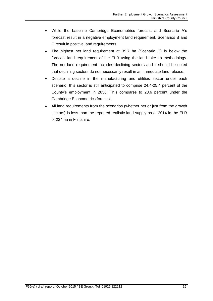- While the baseline Cambridge Econometrics forecast and Scenario A's forecast result in a negative employment land requirement, Scenarios B and C result in positive land requirements.
- The highest net land requirement at 39.7 ha (Scenario C) is below the forecast land requirement of the ELR using the land take-up methodology. The net land requirement includes declining sectors and it should be noted that declining sectors do not necessarily result in an immediate land release.
- Despite a decline in the manufacturing and utilities sector under each scenario, this sector is still anticipated to comprise 24.4-25.4 percent of the County's employment in 2030. This compares to 23.6 percent under the Cambridge Econometrics forecast.
- All land requirements from the scenarios (whether net or just from the growth sectors) is less than the reported realistic land supply as at 2014 in the ELR of 224 ha in Flintshire.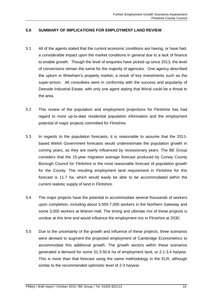#### <span id="page-17-0"></span>**5.0 SUMMARY OF IMPLICATIONS FOR EMPLOYMENT LAND REVIEW**

- 5.1 All of the agents stated that the current economic conditions are having, or have had, a considerable impact upon the market conditions in general due to a lack of finance to enable growth. Though the level of enquiries have picked up since 2013, the level of conversions remain the same for the majority of agencies. One agency described the upturn in Wrexham's property market, a result of key investments such as the super-prison. All consultees were in conformity with the success and popularity of Deeside Industrial Estate, with only one agent stating that Wirral could be a threat to the area.
- 5.2 This review of the population and employment projections for Flintshire has had regard to more up-to-date residential population information and the employment potential of major projects committed for Flintshire.
- 5.3 In regards to the population forecasts, it is reasonable to assume that the 2011 based Welsh Government forecasts would underestimate the population growth in coming years, as they are overly influenced by recessionary years. The BE Group considers that the 15-year migration average forecast produced by Conwy County Borough Council for Flintshire is the most reasonable forecast of population growth for the County. The resulting employment land requirement in Flintshire for this forecast is 11.7 ha, which would easily be able to be accommodated within the current realistic supply of land in Flintshire.
- 5.4 The major projects have the potential to accommodate several thousands of workers upon completion, including about 5,500-7,000 workers in the Northern Gateway and some 3,000 workers at Warren Hall. The timing and ultimate mix of these projects is unclear at this time and would influence the employment mix in Flintshire at 2030.
- 5.5 Due to the uncertainty of the growth and influence of these projects, three scenarios were devised to augment the projected employment of Cambridge Econometrics to accommodate this additional growth. The growth sectors within these scenarios generated a demand for some 31.3-50.6 ha of employment land, or 2.1-3.4 ha/year. This is more than that forecast using the same methodology in the ELR, although similar to the recommended optimistic level of 2-3 ha/year.